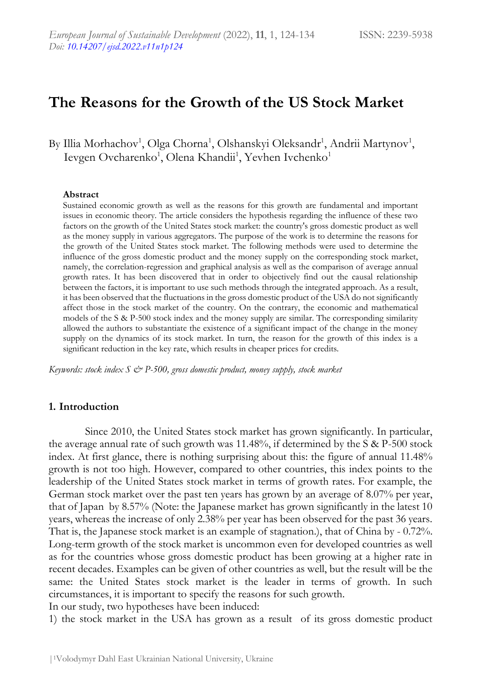# **The Reasons for the Growth of the US Stock Market**

By Illia Morhachov<sup>1</sup>, Olga Chorna<sup>1</sup>, Olshanskyi Oleksandr<sup>1</sup>, Andrii Martynov<sup>1</sup>, Ievgen Ovcharenko<sup>1</sup>, Olena Khandii<sup>1</sup>, Yevhen Ivchenko<sup>1</sup>

#### **Abstract**

Sustained economic growth as well as the reasons for this growth are fundamental and important issues in economic theory. The article considers the hypothesis regarding the influence of these two factors on the growth of the United States stock market: the country's gross domestic product as well as the money supply in various aggregators. The purpose of the work is to determine the reasons for the growth of the United States stock market. The following methods were used to determine the influence of the gross domestic product and the money supply on the corresponding stock market, namely, the correlation-regression and graphical analysis as well as the comparison of average annual growth rates. It has been discovered that in order to objectively find out the causal relationship between the factors, it is important to use such methods through the integrated approach. As a result, it has been observed that the fluctuations in the gross domestic product of the USA do not significantly affect those in the stock market of the country. On the contrary, the economic and mathematical models of the S & P-500 stock index and the money supply are similar. The corresponding similarity allowed the authors to substantiate the existence of a significant impact of the change in the money supply on the dynamics of its stock market. In turn, the reason for the growth of this index is a significant reduction in the key rate, which results in cheaper prices for credits.

*Keywords: stock index S*  $e^2$  *P-500, gross domestic product, money supply, stock market* 

#### **1. Introduction**

Since 2010, the United States stock market has grown significantly. In particular, the average annual rate of such growth was  $11.48\%$ , if determined by the S & P-500 stock index. At first glance, there is nothing surprising about this: the figure of annual 11.48% growth is not too high. However, compared to other countries, this index points to the leadership of the United States stock market in terms of growth rates. For example, the German stock market over the past ten years has grown by an average of 8.07% per year, that of Japan by 8.57% (Note: the Japanese market has grown significantly in the latest 10 years, whereas the increase of only 2.38% per year has been observed for the past 36 years. That is, the Japanese stock market is an example of stagnation.), that of China by - 0.72%. Long-term growth of the stock market is uncommon even for developed countries as well as for the countries whose gross domestic product has been growing at a higher rate in recent decades. Examples can be given of other countries as well, but the result will be the same: the United States stock market is the leader in terms of growth. In such circumstances, it is important to specify the reasons for such growth.

In our study, two hypotheses have been induced:

1) the stock market in the USA has grown as a result of its gross domestic product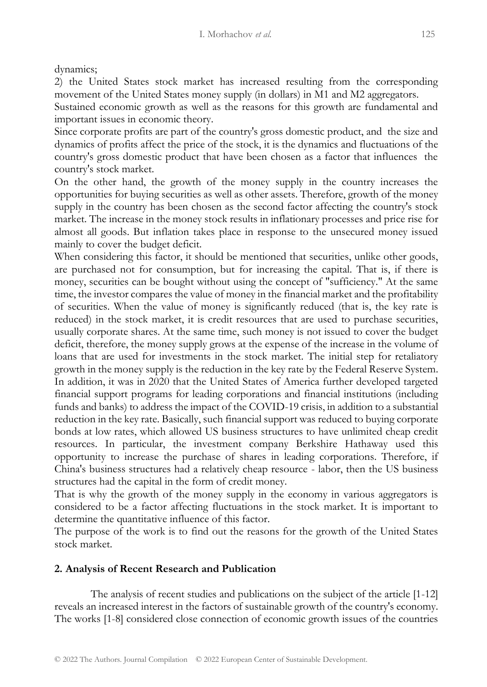dynamics;

2) the United States stock market has increased resulting from the corresponding movement of the United States money supply (in dollars) in M1 and M2 aggregators.

Sustained economic growth as well as the reasons for this growth are fundamental and important issues in economic theory.

Since corporate profits are part of the country's gross domestic product, and the size and dynamics of profits affect the price of the stock, it is the dynamics and fluctuations of the country's gross domestic product that have been chosen as a factor that influences the country's stock market.

On the other hand, the growth of the money supply in the country increases the opportunities for buying securities as well as other assets. Therefore, growth of the money supply in the country has been chosen as the second factor affecting the country's stock market. The increase in the money stock results in inflationary processes and price rise for almost all goods. But inflation takes place in response to the unsecured money issued mainly to cover the budget deficit.

When considering this factor, it should be mentioned that securities, unlike other goods, are purchased not for consumption, but for increasing the capital. That is, if there is money, securities can be bought without using the concept of "sufficiency." At the same time, the investor compares the value of money in the financial market and the profitability of securities. When the value of money is significantly reduced (that is, the key rate is reduced) in the stock market, it is credit resources that are used to purchase securities, usually corporate shares. At the same time, such money is not issued to cover the budget deficit, therefore, the money supply grows at the expense of the increase in the volume of loans that are used for investments in the stock market. The initial step for retaliatory growth in the money supply is the reduction in the key rate by the Federal Reserve System. In addition, it was in 2020 that the United States of America further developed targeted financial support programs for leading corporations and financial institutions (including funds and banks) to address the impact of the COVID-19 crisis, in addition to a substantial reduction in the key rate. Basically, such financial support was reduced to buying corporate bonds at low rates, which allowed US business structures to have unlimited cheap credit resources. In particular, the investment company Berkshire Hathaway used this opportunity to increase the purchase of shares in leading corporations. Therefore, if China's business structures had a relatively cheap resource - labor, then the US business structures had the capital in the form of credit money.

That is why the growth of the money supply in the economy in various aggregators is considered to be a factor affecting fluctuations in the stock market. It is important to determine the quantitative influence of this factor.

The purpose of the work is to find out the reasons for the growth of the United States stock market.

# **2. Analysis of Recent Research and Publication**

The analysis of recent studies and publications on the subject of the article [1-12] reveals an increased interest in the factors of sustainable growth of the country's economy. The works [1-8] considered close connection of economic growth issues of the countries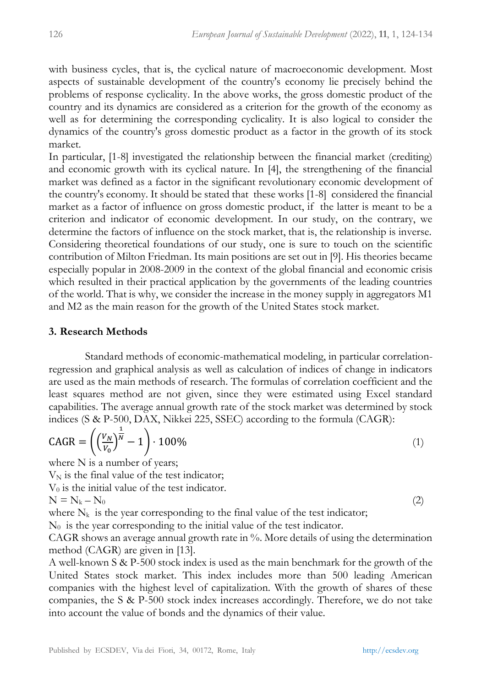with business cycles, that is, the cyclical nature of macroeconomic development. Most aspects of sustainable development of the country's economy lie precisely behind the problems of response cyclicality. In the above works, the gross domestic product of the country and its dynamics are considered as a criterion for the growth of the economy as well as for determining the corresponding cyclicality. It is also logical to consider the dynamics of the country's gross domestic product as a factor in the growth of its stock market.

In particular, [1-8] investigated the relationship between the financial market (crediting) and economic growth with its cyclical nature. In [4], the strengthening of the financial market was defined as a factor in the significant revolutionary economic development of the country's economy. It should be stated that these works [1-8] considered the financial market as a factor of influence on gross domestic product, if the latter is meant to be a criterion and indicator of economic development. In our study, on the contrary, we determine the factors of influence on the stock market, that is, the relationship is inverse. Considering theoretical foundations of our study, one is sure to touch on the scientific contribution of Milton Friedman. Its main positions are set out in [9]. His theories became especially popular in 2008-2009 in the context of the global financial and economic crisis which resulted in their practical application by the governments of the leading countries of the world. That is why, we consider the increase in the money supply in aggregators М1 and М2 as the main reason for the growth of the United States stock market.

## **3. Research Methods**

Standard methods of economic-mathematical modeling, in particular correlationregression and graphical analysis as well as calculation of indices of change in indicators are used as the main methods of research. The formulas of correlation coefficient and the least squares method are not given, since they were estimated using Excel standard capabilities. The average annual growth rate of the stock market was determined by stock indices (S & P-500, DAX, Nikkei 225, SSEC) according to the formula (CAGR):

$$
\text{CAGR} = \left( \left( \frac{V_N}{V_0} \right)^{\frac{1}{N}} - 1 \right) \cdot 100\% \tag{1}
$$

where N is a number of years;

 $V_N$  is the final value of the test indicator;

 $V_0$  is the initial value of the test indicator.

 $N = N_{k} - N_{0}$  (2)

where  $N_k$  is the year corresponding to the final value of the test indicator;

 $N_0$  is the year corresponding to the initial value of the test indicator.

CAGR shows an average annual growth rate in %. More details of using the determination method (CAGR) are given in [13].

A well-known S & P-500 stock index is used as the main benchmark for the growth of the United States stock market. This index includes more than 500 leading American companies with the highest level of capitalization. With the growth of shares of these companies, the S & P-500 stock index increases accordingly. Therefore, we do not take into account the value of bonds and the dynamics of their value.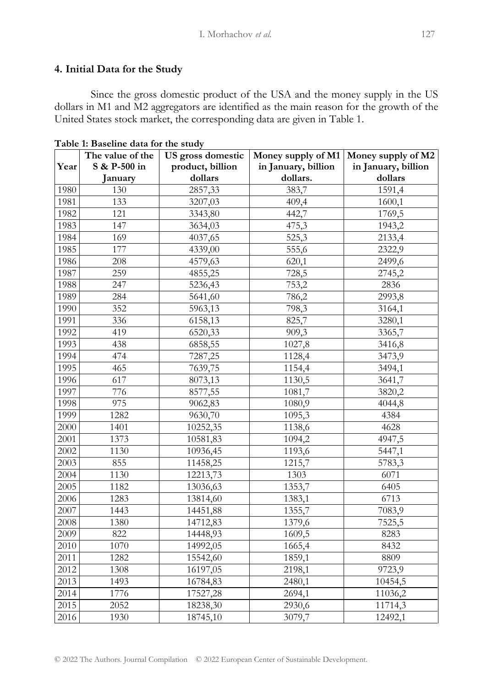# **4. Initial Data for the Study**

Since the gross domestic product of the USA and the money supply in the US dollars in M1 and M2 aggregators are identified as the main reason for the growth of the United States stock market, the corresponding data are given in Table 1.

|      | The value of the | US gross domestic | Money supply of M1  | Money supply of M2  |
|------|------------------|-------------------|---------------------|---------------------|
| Year | S & P-500 in     | product, billion  | in January, billion | in January, billion |
|      | January          | dollars           | dollars.            | dollars             |
| 1980 | 130              | 2857,33           | 383,7               | 1591,4              |
| 1981 | 133              | 3207,03           | 409,4               | 1600,1              |
| 1982 | 121              | 3343,80           | 442,7               | 1769,5              |
| 1983 | 147              | 3634,03           | 475,3               | 1943,2              |
| 1984 | 169              | 4037,65           | 525,3               | 2133,4              |
| 1985 | 177              | 4339,00           | 555,6               | 2322,9              |
| 1986 | 208              | 4579,63           | 620,1               | 2499,6              |
| 1987 | 259              | 4855,25           | 728,5               | 2745,2              |
| 1988 | 247              | 5236,43           | 753,2               | 2836                |
| 1989 | 284              | 5641,60           | 786,2               | 2993,8              |
| 1990 | 352              | 5963,13           | 798,3               | 3164,1              |
| 1991 | 336              | 6158,13           | 825,7               | 3280,1              |
| 1992 | 419              | 6520,33           | 909,3               | 3365,7              |
| 1993 | 438              | 6858,55           | 1027,8              | 3416,8              |
| 1994 | 474              | 7287,25           | 1128,4              | 3473,9              |
| 1995 | 465              | 7639,75           | 1154,4              | 3494,1              |
| 1996 | 617              | 8073,13           | 1130,5              | 3641,7              |
| 1997 | 776              | 8577,55           | 1081,7              | 3820,2              |
| 1998 | 975              | 9062,83           | 1080,9              | 4044,8              |
| 1999 | 1282             | 9630,70           | 1095,3              | 4384                |
| 2000 | 1401             | 10252,35          | 1138,6              | 4628                |
| 2001 | 1373             | 10581,83          | 1094,2              | 4947,5              |
| 2002 | 1130             | 10936,45          | 1193,6              | 5447,1              |
| 2003 | 855              | 11458,25          | 1215,7              | 5783,3              |
| 2004 | 1130             | 12213,73          | 1303                | 6071                |
| 2005 | 1182             | 13036,63          | 1353,7              | 6405                |
| 2006 | 1283             | 13814,60          | 1383,1              | 6713                |
| 2007 | 1443             | 14451,88          | 1355,7              | 7083,9              |
| 2008 | 1380             | 14712,83          | 1379,6              | 7525,5              |
| 2009 | 822              | 14448,93          | 1609,5              | 8283                |
| 2010 | 1070             | 14992,05          | 1665,4              | 8432                |
| 2011 | 1282             | 15542,60          | 1859,1              | 8809                |
| 2012 | 1308             | 16197,05          | 2198,1              | 9723,9              |
| 2013 | 1493             | 16784,83          | 2480,1              | 10454,5             |
| 2014 | 1776             | 17527,28          | 2694,1              | 11036,2             |
| 2015 | 2052             | 18238,30          | 2930,6              | 11714,3             |
| 2016 | 1930             | 18745,10          | 3079,7              | 12492,1             |

**Table 1: Baseline data for the study**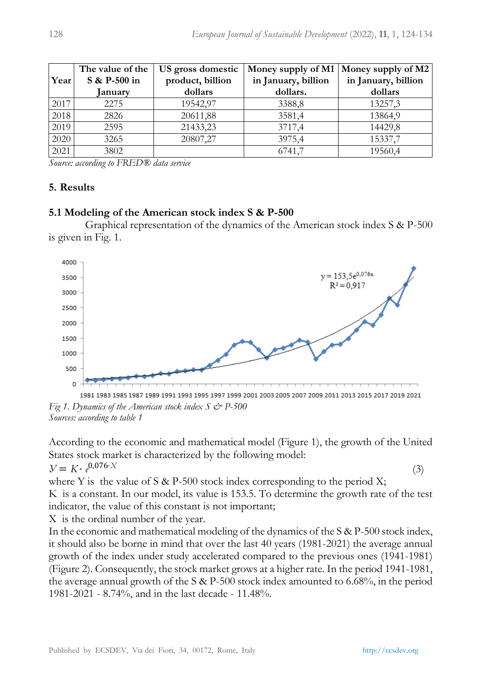| The value of the<br>S & P-500 in<br>Year<br>Januarv |      | US gross domestic<br>product, billion<br>dollars | Money supply of M1<br>in January, billion<br>dollars. | Money supply of M2<br>in January, billion<br>dollars |
|-----------------------------------------------------|------|--------------------------------------------------|-------------------------------------------------------|------------------------------------------------------|
| 2017                                                | 2275 | 19542,97                                         | 3388.8                                                | 13257,3                                              |
| 2018                                                | 2826 | 20611,88                                         | 3581.4                                                | 13864,9                                              |
| 2019                                                | 2595 | 21433,23                                         | 3717.4                                                | 14429,8                                              |
| 2020                                                | 3265 | 20807,27                                         | 3975.4                                                | 15337,7                                              |
| 2021                                                | 3802 |                                                  | 6741.7                                                | 19560,4                                              |

*Source: according to FRED® data service*

## **5. Results**

#### **5.1 Modeling of the American stock index S & P-500**

Graphical representation of the dynamics of the American stock index S & P-500 is given in Fig. 1.



*Fig 1. Dynamics of the American stock index S & P-500 Sources: according to table 1*

According to the economic and mathematical model (Figure 1), the growth of the United States stock market is characterized by the following model:  $V = K \cdot e^{0.076 \cdot X}$  $0.076 \cdot X$  (3)

where Y is the value of S  $\&$  P-500 stock index corresponding to the period X; K is a constant. In our model, its value is 153.5. To determine the growth rate of the test indicator, the value of this constant is not important;

X is the ordinal number of the year.

In the economic and mathematical modeling of the dynamics of the S & P-500 stock index, it should also be borne in mind that over the last 40 years (1981-2021) the average annual growth of the index under study accelerated compared to the previous ones (1941-1981) (Figure 2). Consequently, the stock market grows at a higher rate. In the period 1941-1981, the average annual growth of the S & P-500 stock index amounted to 6.68%, in the period 1981-2021 - 8.74%, and in the last decade - 11.48%.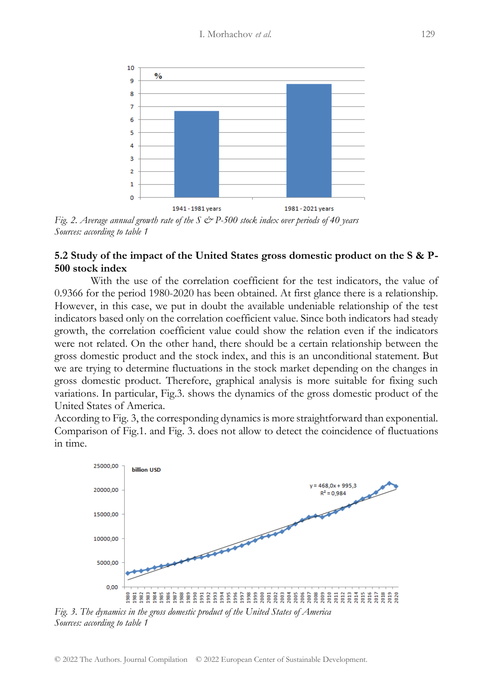

*Fig. 2. Average annual growth rate of the S & P-500 stock index over periods of 40 years Sources: according to table 1*

#### **5.2 Study of the impact of the United States gross domestic product on the S & P-500 stock index**

With the use of the correlation coefficient for the test indicators, the value of 0.9366 for the period 1980-2020 has been obtained. At first glance there is a relationship. However, in this case, we put in doubt the available undeniable relationship of the test indicators based only on the correlation coefficient value. Since both indicators had steady growth, the correlation coefficient value could show the relation even if the indicators were not related. On the other hand, there should be a certain relationship between the gross domestic product and the stock index, and this is an unconditional statement. But we are trying to determine fluctuations in the stock market depending on the changes in gross domestic product. Therefore, graphical analysis is more suitable for fixing such variations. In particular, Fig.3. shows the dynamics of the gross domestic product of the United States of America.

According to Fig. 3, the corresponding dynamics is more straightforward than exponential. Comparison of Fig.1. and Fig. 3. does not allow to detect the coincidence of fluctuations in time.



*Fig. 3. The dynamics in the gross domestic product of the United States of America Sources: according to table 1*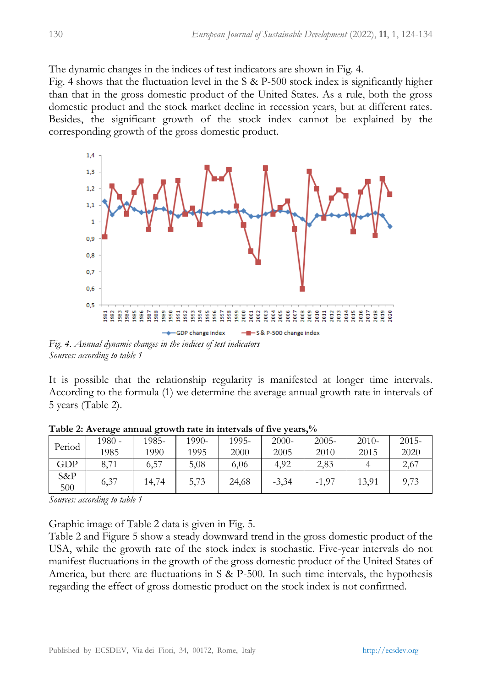The dynamic changes in the indices of test indicators are shown in Fig. 4.

Fig. 4 shows that the fluctuation level in the S  $&$  P-500 stock index is significantly higher than that in the gross domestic product of the United States. As a rule, both the gross domestic product and the stock market decline in recession years, but at different rates. Besides, the significant growth of the stock index cannot be explained by the corresponding growth of the gross domestic product.



*Sources: according to table 1*

It is possible that the relationship regularity is manifested at longer time intervals. According to the formula (1) we determine the average annual growth rate in intervals of 5 years (Table 2).

| Period        | $1980 -$ | 1985- | 1990- | 1995- | $2000 -$ | $2005 -$ | $2010-$ | $2015 -$ |
|---------------|----------|-------|-------|-------|----------|----------|---------|----------|
|               | 1985     | 1990  | 1995  | 2000  | 2005     | 2010     | 2015    | 2020     |
| GDP           | 8.71     | 6,57  | 5,08  | 6.06  | 4.92     | 2,83     |         | 2,67     |
| $S\&P$<br>500 | 6,37     | 14,74 | 5,73  | 24,68 | $-3,34$  | $-1,97$  | 13.91   | 9,73     |

**Table 2: Average annual growth rate in intervals of five years,%** 

*Sources: according to table 1*

Graphic image of Table 2 data is given in Fig. 5.

Table 2 and Figure 5 show a steady downward trend in the gross domestic product of the USA, while the growth rate of the stock index is stochastic. Five-year intervals do not manifest fluctuations in the growth of the gross domestic product of the United States of America, but there are fluctuations in S & P-500. In such time intervals, the hypothesis regarding the effect of gross domestic product on the stock index is not confirmed.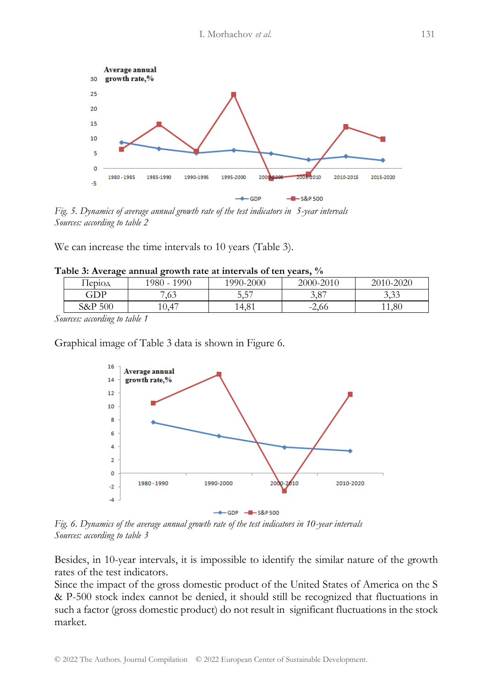

*Fig. 5. Dynamics of average annual growth rate of the test indicators in 5-year intervals Sources: according to table 2*

We can increase the time intervals to 10 years (Table 3).

| adic 9. Iivclage allitual growth late at intervals of ten years, 70 $\,$ |               |           |           |           |  |  |
|--------------------------------------------------------------------------|---------------|-----------|-----------|-----------|--|--|
| . Iepioa                                                                 | $1980 - 1990$ | 1990-2000 | 2000-2010 | 2010-2020 |  |  |
| GDP                                                                      | .63           | ີ         | 3,87      | 3.33      |  |  |
| $S\&P 500$                                                               | $0.4^{-}$     | 14.81     | $-2.66$   | .1.80     |  |  |
|                                                                          |               |           |           |           |  |  |

|  | Table 3: Average annual growth rate at intervals of ten years, % |  |
|--|------------------------------------------------------------------|--|
|--|------------------------------------------------------------------|--|

*Sources: according to table 1*

Graphical image of Table 3 data is shown in Figure 6.



*Fig. 6. Dynamics of the average annual growth rate of the test indicators in 10-year intervals Sources: according to table 3*

Besides, in 10-year intervals, it is impossible to identify the similar nature of the growth rates of the test indicators.

Since the impact of the gross domestic product of the United States of America on the S & P-500 stock index cannot be denied, it should still be recognized that fluctuations in such a factor (gross domestic product) do not result in significant fluctuations in the stock market.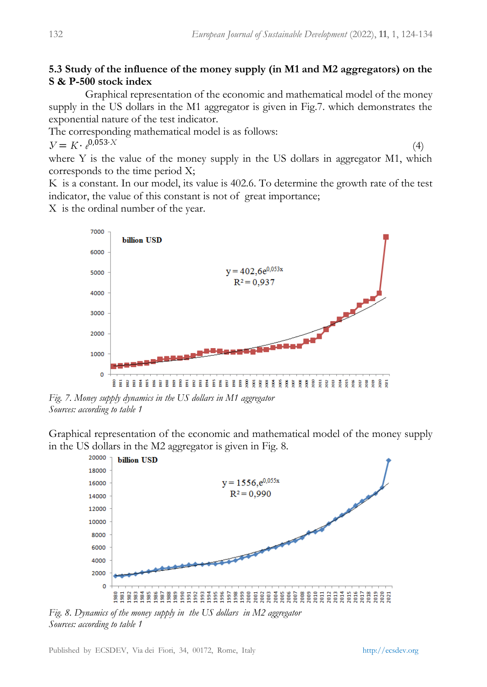## **5.3 Study of the influence of the money supply (in M1 and M2 aggregators) on the S & P-500 stock index**

Graphical representation of the economic and mathematical model of the money supply in the US dollars in the М1 aggregator is given in Fig.7. which demonstrates the exponential nature of the test indicator.

The corresponding mathematical model is as follows:

 $V = K \cdot e^{0.053 \cdot X}$  $0.053 \cdot X$  (4)

where Y is the value of the money supply in the US dollars in aggregator  $M1$ , which corresponds to the time period X;

K is a constant. In our model, its value is 402.6. To determine the growth rate of the test indicator, the value of this constant is not of great importance;

X is the ordinal number of the year.



*Fig. 7. Money supply dynamics in the US dollars in M1 aggregator Sources: according to table 1*

Graphical representation of the economic and mathematical model of the money supply in the US dollars in the М2 aggregator is given in Fig. 8.



*Fig. 8. Dynamics of the money supply in the US dollars in M2 aggregator Sources: according to table 1*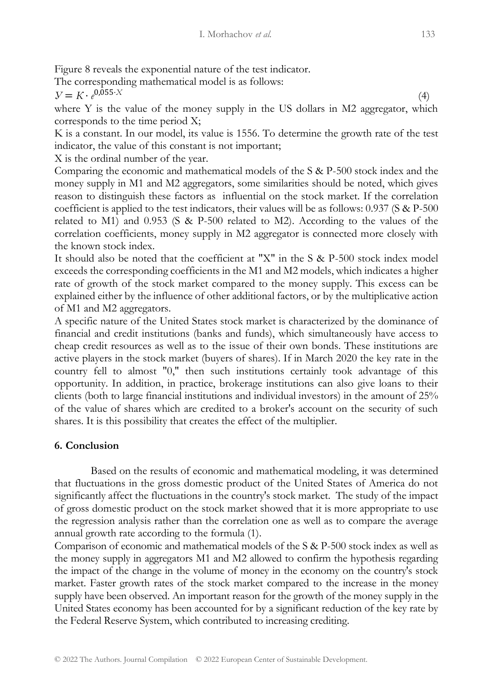Figure 8 reveals the exponential nature of the test indicator.

The corresponding mathematical model is as follows:

 $V = K \cdot e^{0.055 \cdot X}$  $0.055 \cdot X$  (4)

where Y is the value of the money supply in the US dollars in  $M2$  aggregator, which corresponds to the time period X;

K is a constant. In our model, its value is 1556. To determine the growth rate of the test indicator, the value of this constant is not important;

X is the ordinal number of the year.

Comparing the economic and mathematical models of the S & P-500 stock index and the money supply in M1 and M2 aggregators, some similarities should be noted, which gives reason to distinguish these factors as influential on the stock market. If the correlation coefficient is applied to the test indicators, their values will be as follows: 0.937 (S & P-500 related to М1) and 0.953 (S & P-500 related to M2). According to the values of the correlation coefficients, money supply in M2 aggregator is connected more closely with the known stock index.

It should also be noted that the coefficient at "X" in the S & P-500 stock index model exceeds the corresponding coefficients in the М1 and М2 models, which indicates a higher rate of growth of the stock market compared to the money supply. This excess can be explained either by the influence of other additional factors, or by the multiplicative action of M1 and M2 aggregators.

A specific nature of the United States stock market is characterized by the dominance of financial and credit institutions (banks and funds), which simultaneously have access to cheap credit resources as well as to the issue of their own bonds. These institutions are active players in the stock market (buyers of shares). If in March 2020 the key rate in the country fell to almost "0," then such institutions certainly took advantage of this opportunity. In addition, in practice, brokerage institutions can also give loans to their clients (both to large financial institutions and individual investors) in the amount of 25% of the value of shares which are credited to a broker's account on the security of such shares. It is this possibility that creates the effect of the multiplier.

# **6. Conclusion**

Based on the results of economic and mathematical modeling, it was determined that fluctuations in the gross domestic product of the United States of America do not significantly affect the fluctuations in the country's stock market. The study of the impact of gross domestic product on the stock market showed that it is more appropriate to use the regression analysis rather than the correlation one as well as to compare the average annual growth rate according to the formula (1).

Comparison of economic and mathematical models of the S & P-500 stock index as well as the money supply in aggregators М1 and М2 allowed to confirm the hypothesis regarding the impact of the change in the volume of money in the economy on the country's stock market. Faster growth rates of the stock market compared to the increase in the money supply have been observed. An important reason for the growth of the money supply in the United States economy has been accounted for by a significant reduction of the key rate by the Federal Reserve System, which contributed to increasing crediting.